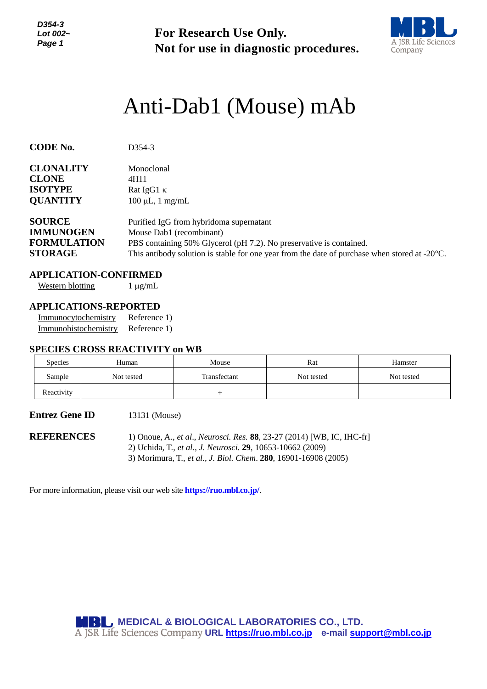*D354-3 Lot 002~ Page 1*

**For Research Use Only. Not for use in diagnostic procedures.**



# Anti-Dab1 (Mouse) mAb

| <b>CODE No.</b>    | D <sub>354</sub> -3                                                                                     |
|--------------------|---------------------------------------------------------------------------------------------------------|
| <b>CLONALITY</b>   | Monoclonal                                                                                              |
| <b>CLONE</b>       | 4H11                                                                                                    |
| <b>ISOTYPE</b>     | Rat IgG1 $\kappa$                                                                                       |
| <b>QUANTITY</b>    | $100 \mu L$ , 1 mg/mL                                                                                   |
| <b>SOURCE</b>      | Purified IgG from hybridoma supernatant                                                                 |
| <b>IMMUNOGEN</b>   | Mouse Dab1 (recombinant)                                                                                |
| <b>FORMULATION</b> | PBS containing 50% Glycerol (pH 7.2). No preservative is contained.                                     |
| <b>STORAGE</b>     | This antibody solution is stable for one year from the date of purchase when stored at $-20^{\circ}$ C. |

# **APPLICATION-CONFIRMED**

Western blotting  $1 \mu g/mL$ 

### **APPLICATIONS-REPORTED**

| Immunocytochemistry  | Reference 1) |
|----------------------|--------------|
| Immunohistochemistry | Reference 1) |

## **SPECIES CROSS REACTIVITY on WB**

| <b>Species</b> | Human      | Mouse        | Rat        | Hamster    |
|----------------|------------|--------------|------------|------------|
| Sample         | Not tested | Transfectant | Not tested | Not tested |
| Reactivity     |            |              |            |            |

#### **Entrez Gene ID** 13131 (Mouse)

**REFERENCES** 1) Onoue, A., *et al*., *Neurosci. Res.* **88**, 23-27 (2014) [WB, IC, IHC-fr] 2) Uchida, T., *et al*., *J. [Neurosci.](http://www.ncbi.nlm.nih.gov/pubmed/?term=22723667)* **29**, 10653-10662 (2009)

3) Morimura, T., *et al., J. Biol. Chem*. **280**, 16901-16908 (2005)

For more information, please visit our web site **https://ruo.mbl.co.jp/**.